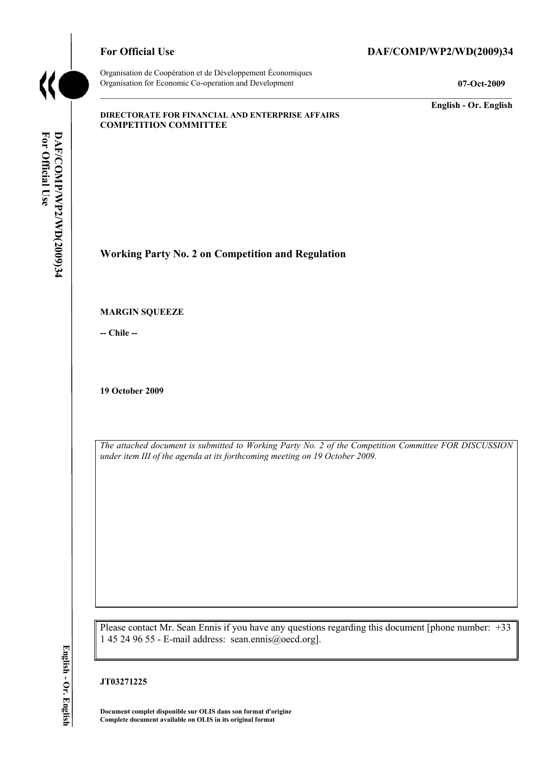

Organisation de Coopération et de Développement Économiques Organisation for Economic Co-operation and Development **07-Oct-2009** 

## For Official Use DAF/COMP/WP2/WD(2009)34

**English - Or. English** 

#### **DIRECTORATE FOR FINANCIAL AND ENTERPRISE AFFAIRS COMPETITION COMMITTEE**

**Working Party No. 2 on Competition and Regulation** 

**MARGIN SQUEEZE** 

**-- Chile --** 

**19 October 2009** 

*The attached document is submitted to Working Party No. 2 of the Competition Committee FOR DISCUSSION under item III of the agenda at its forthcoming meeting on 19 October 2009.* 

Please contact Mr. Sean Ennis if you have any questions regarding this document [phone number: +33 1 45 24 96 55 - E-mail address: sean.ennis@oecd.org].

**JT03271225** 

**Document complet disponible sur OLIS dans son format d'origine Complete document available on OLIS in its original format**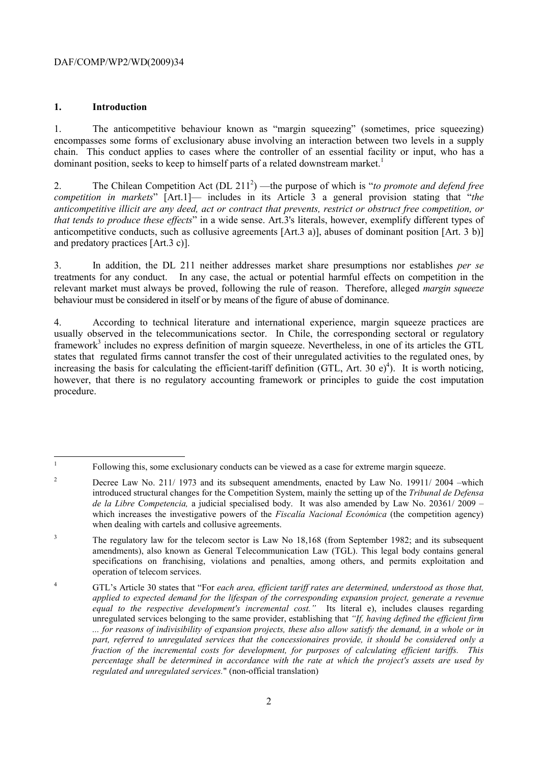#### DAF/COMP/WP2/WD(2009)34

#### **1. Introduction**

1. The anticompetitive behaviour known as "margin squeezing" (sometimes, price squeezing) encompasses some forms of exclusionary abuse involving an interaction between two levels in a supply chain. This conduct applies to cases where the controller of an essential facility or input, who has a dominant position, seeks to keep to himself parts of a related downstream market.<sup>1</sup>

2. The Chilean Competition Act (DL 211<sup>2</sup>) —the purpose of which is "*to promote and defend free competition in markets*" [Art.1]— includes in its Article 3 a general provision stating that "*the anticompetitive illicit are any deed, act or contract that prevents, restrict or obstruct free competition, or that tends to produce these effects*" in a wide sense. Art.3's literals, however, exemplify different types of anticompetitive conducts, such as collusive agreements [Art.3 a)], abuses of dominant position [Art. 3 b)] and predatory practices [Art.3 c)].

3. In addition, the DL 211 neither addresses market share presumptions nor establishes *per se* treatments for any conduct. In any case, the actual or potential harmful effects on competition in the relevant market must always be proved, following the rule of reason. Therefore, alleged *margin squeeze* behaviour must be considered in itself or by means of the figure of abuse of dominance.

4. According to technical literature and international experience, margin squeeze practices are usually observed in the telecommunications sector. In Chile, the corresponding sectoral or regulatory framework<sup>3</sup> includes no express definition of margin squeeze. Nevertheless, in one of its articles the GTL states that regulated firms cannot transfer the cost of their unregulated activities to the regulated ones, by increasing the basis for calculating the efficient-tariff definition (GTL, Art. 30 e)<sup>4</sup>). It is worth noticing, however, that there is no regulatory accounting framework or principles to guide the cost imputation procedure.

<sup>|&</sup>lt;br>|<br>| Following this, some exclusionary conducts can be viewed as a case for extreme margin squeeze.

<sup>2</sup> Decree Law No. 211/ 1973 and its subsequent amendments, enacted by Law No. 19911/ 2004 –which introduced structural changes for the Competition System, mainly the setting up of the *Tribunal de Defensa de la Libre Competencia,* a judicial specialised body. It was also amended by Law No. 20361/ 2009 – which increases the investigative powers of the *Fiscalía Nacional Económica* (the competition agency) when dealing with cartels and collusive agreements.

<sup>3</sup> The regulatory law for the telecom sector is Law No 18,168 (from September 1982; and its subsequent amendments), also known as General Telecommunication Law (TGL). This legal body contains general specifications on franchising, violations and penalties, among others, and permits exploitation and operation of telecom services.

<sup>4</sup> GTL's Article 30 states that "For *each area, efficient tariff rates are determined, understood as those that, applied to expected demand for the lifespan of the corresponding expansion project, generate a revenue equal to the respective development's incremental cost."* Its literal e), includes clauses regarding unregulated services belonging to the same provider, establishing that *"If, having defined the efficient firm ... for reasons of indivisibility of expansion projects, these also allow satisfy the demand, in a whole or in part, referred to unregulated services that the concessionaires provide, it should be considered only a fraction of the incremental costs for development, for purposes of calculating efficient tariffs. This percentage shall be determined in accordance with the rate at which the project's assets are used by regulated and unregulated services.*" (non-official translation)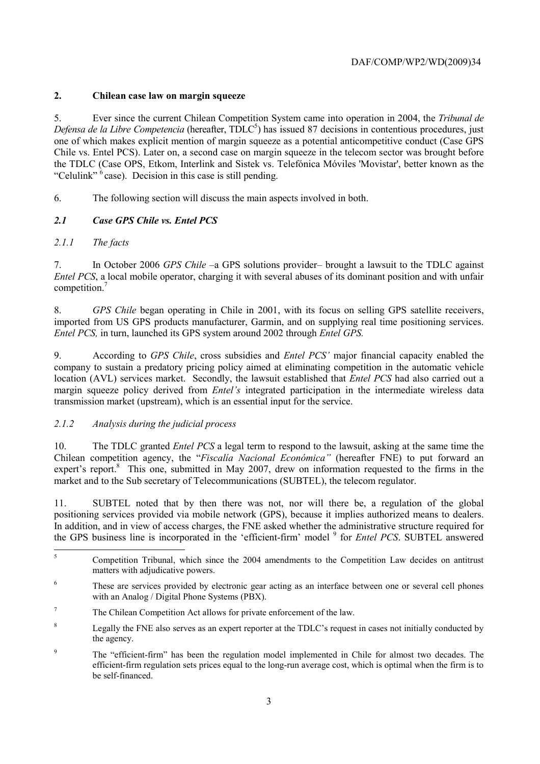## **2. Chilean case law on margin squeeze**

5. Ever since the current Chilean Competition System came into operation in 2004, the *Tribunal de*  Defensa de la Libre Competencia (hereafter, TDLC<sup>5</sup>) has issued 87 decisions in contentious procedures, just one of which makes explicit mention of margin squeeze as a potential anticompetitive conduct (Case GPS Chile vs. Entel PCS). Later on, a second case on margin squeeze in the telecom sector was brought before the TDLC (Case OPS, Etkom, Interlink and Sistek vs. Telefónica Móviles 'Movistar', better known as the "Celulink"  $6$  case). Decision in this case is still pending.

6. The following section will discuss the main aspects involved in both.

# *2.1 Case GPS Chile vs. Entel PCS*

## *2.1.1 The facts*

7. In October 2006 *GPS Chile* –a GPS solutions provider– brought a lawsuit to the TDLC against *Entel PCS*, a local mobile operator, charging it with several abuses of its dominant position and with unfair competition.<sup>7</sup>

8. *GPS Chile* began operating in Chile in 2001, with its focus on selling GPS satellite receivers, imported from US GPS products manufacturer, Garmin, and on supplying real time positioning services. *Entel PCS,* in turn, launched its GPS system around 2002 through *Entel GPS.*

9. According to *GPS Chile*, cross subsidies and *Entel PCS'* major financial capacity enabled the company to sustain a predatory pricing policy aimed at eliminating competition in the automatic vehicle location (AVL) services market. Secondly, the lawsuit established that *Entel PCS* had also carried out a margin squeeze policy derived from *Entel's* integrated participation in the intermediate wireless data transmission market (upstream), which is an essential input for the service.

### *2.1.2 Analysis during the judicial process*

10. The TDLC granted *Entel PCS* a legal term to respond to the lawsuit, asking at the same time the Chilean competition agency, the "*Fiscalía Nacional Económica"* (hereafter FNE) to put forward an expert's report.<sup>8</sup> This one, submitted in May 2007, drew on information requested to the firms in the market and to the Sub secretary of Telecommunications (SUBTEL), the telecom regulator.

11. SUBTEL noted that by then there was not, nor will there be, a regulation of the global positioning services provided via mobile network (GPS), because it implies authorized means to dealers. In addition, and in view of access charges, the FNE asked whether the administrative structure required for the GPS business line is incorporated in the 'efficient-firm' model <sup>9</sup> for *Entel PCS*. SUBTEL answered

 $\frac{1}{5}$  Competition Tribunal, which since the 2004 amendments to the Competition Law decides on antitrust matters with adjudicative powers.

<sup>6</sup> These are services provided by electronic gear acting as an interface between one or several cell phones with an Analog / Digital Phone Systems (PBX).

<sup>7</sup> The Chilean Competition Act allows for private enforcement of the law.

<sup>8</sup> Legally the FNE also serves as an expert reporter at the TDLC's request in cases not initially conducted by the agency.

<sup>9</sup> The "efficient-firm" has been the regulation model implemented in Chile for almost two decades. The efficient-firm regulation sets prices equal to the long-run average cost, which is optimal when the firm is to be self-financed.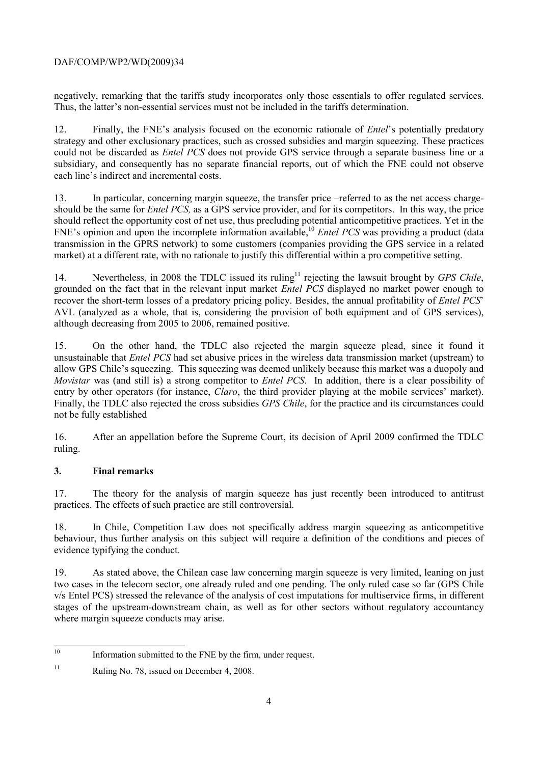### DAF/COMP/WP2/WD(2009)34

negatively, remarking that the tariffs study incorporates only those essentials to offer regulated services. Thus, the latter's non-essential services must not be included in the tariffs determination.

12. Finally, the FNE's analysis focused on the economic rationale of *Entel*'s potentially predatory strategy and other exclusionary practices, such as crossed subsidies and margin squeezing. These practices could not be discarded as *Entel PCS* does not provide GPS service through a separate business line or a subsidiary, and consequently has no separate financial reports, out of which the FNE could not observe each line's indirect and incremental costs.

13. In particular, concerning margin squeeze, the transfer price –referred to as the net access chargeshould be the same for *Entel PCS,* as a GPS service provider, and for its competitors. In this way, the price should reflect the opportunity cost of net use, thus precluding potential anticompetitive practices. Yet in the FNE's opinion and upon the incomplete information available,<sup>10</sup> *Entel PCS* was providing a product (data transmission in the GPRS network) to some customers (companies providing the GPS service in a related market) at a different rate, with no rationale to justify this differential within a pro competitive setting.

14. Nevertheless, in 2008 the TDLC issued its ruling<sup>11</sup> rejecting the lawsuit brought by *GPS Chile*, grounded on the fact that in the relevant input market *Entel PCS* displayed no market power enough to recover the short-term losses of a predatory pricing policy. Besides, the annual profitability of *Entel PCS*' AVL (analyzed as a whole, that is, considering the provision of both equipment and of GPS services), although decreasing from 2005 to 2006, remained positive.

15. On the other hand, the TDLC also rejected the margin squeeze plead, since it found it unsustainable that *Entel PCS* had set abusive prices in the wireless data transmission market (upstream) to allow GPS Chile's squeezing. This squeezing was deemed unlikely because this market was a duopoly and *Movistar* was (and still is) a strong competitor to *Entel PCS*. In addition, there is a clear possibility of entry by other operators (for instance, *Claro*, the third provider playing at the mobile services' market). Finally, the TDLC also rejected the cross subsidies *GPS Chile*, for the practice and its circumstances could not be fully established

16. After an appellation before the Supreme Court, its decision of April 2009 confirmed the TDLC ruling.

### **3. Final remarks**

17. The theory for the analysis of margin squeeze has just recently been introduced to antitrust practices. The effects of such practice are still controversial.

18. In Chile, Competition Law does not specifically address margin squeezing as anticompetitive behaviour, thus further analysis on this subject will require a definition of the conditions and pieces of evidence typifying the conduct.

19. As stated above, the Chilean case law concerning margin squeeze is very limited, leaning on just two cases in the telecom sector, one already ruled and one pending. The only ruled case so far (GPS Chile v/s Entel PCS) stressed the relevance of the analysis of cost imputations for multiservice firms, in different stages of the upstream-downstream chain, as well as for other sectors without regulatory accountancy where margin squeeze conducts may arise.

 $10<sup>10</sup>$ Information submitted to the FNE by the firm, under request.

<sup>&</sup>lt;sup>11</sup> Ruling No. 78, issued on December 4, 2008.